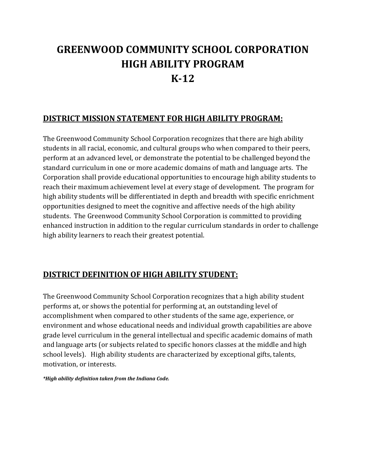## **GREENWOOD COMMUNITY SCHOOL CORPORATION HIGH ABILITY PROGRAM K-12**

#### **DISTRICT MISSION STATEMENT FOR HIGH ABILITY PROGRAM:**

The Greenwood Community School Corporation recognizes that there are high ability students in all racial, economic, and cultural groups who when compared to their peers, perform at an advanced level, or demonstrate the potential to be challenged beyond the standard curriculum in one or more academic domains of math and language arts. The Corporation shall provide educational opportunities to encourage high ability students to reach their maximum achievement level at every stage of development. The program for high ability students will be differentiated in depth and breadth with specific enrichment opportunities designed to meet the cognitive and affective needs of the high ability students. The Greenwood Community School Corporation is committed to providing enhanced instruction in addition to the regular curriculum standards in order to challenge high ability learners to reach their greatest potential.

#### **DISTRICT DEFINITION OF HIGH ABILITY STUDENT:**

The Greenwood Community School Corporation recognizes that a high ability student performs at, or shows the potential for performing at, an outstanding level of accomplishment when compared to other students of the same age, experience, or environment and whose educational needs and individual growth capabilities are above grade level curriculum in the general intellectual and specific academic domains of math and language arts (or subjects related to specific honors classes at the middle and high school levels). High ability students are characterized by exceptional gifts, talents, motivation, or interests.

*\*High ability definition taken from the Indiana Code.*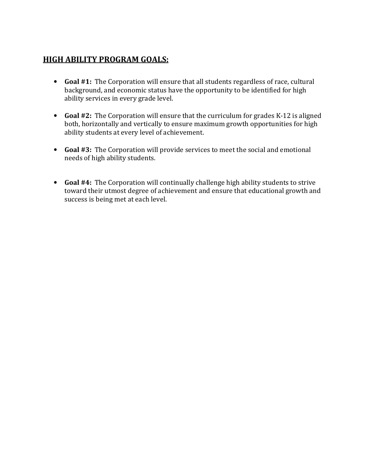#### **HIGH ABILITY PROGRAM GOALS:**

- **Goal #1:** The Corporation will ensure that all students regardless of race, cultural background, and economic status have the opportunity to be identified for high ability services in every grade level.
- **Goal #2:** The Corporation will ensure that the curriculum for grades K-12 is aligned both, horizontally and vertically to ensure maximum growth opportunities for high ability students at every level of achievement.
- **Goal #3:** The Corporation will provide services to meet the social and emotional needs of high ability students.
- **Goal #4:** The Corporation will continually challenge high ability students to strive toward their utmost degree of achievement and ensure that educational growth and success is being met at each level.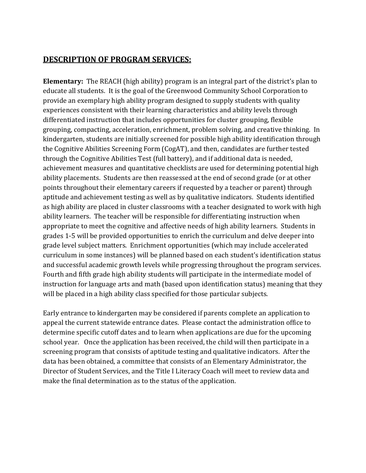#### **DESCRIPTION OF PROGRAM SERVICES:**

**Elementary:** The REACH (high ability) program is an integral part of the district's plan to educate all students. It is the goal of the Greenwood Community School Corporation to provide an exemplary high ability program designed to supply students with quality experiences consistent with their learning characteristics and ability levels through differentiated instruction that includes opportunities for cluster grouping, flexible grouping, compacting, acceleration, enrichment, problem solving, and creative thinking. In kindergarten, students are initially screened for possible high ability identification through the Cognitive Abilities Screening Form (CogAT), and then, candidates are further tested through the Cognitive Abilities Test (full battery), and if additional data is needed, achievement measures and quantitative checklists are used for determining potential high ability placements. Students are then reassessed at the end of second grade (or at other points throughout their elementary careers if requested by a teacher or parent) through aptitude and achievement testing as well as by qualitative indicators. Students identified as high ability are placed in cluster classrooms with a teacher designated to work with high ability learners. The teacher will be responsible for differentiating instruction when appropriate to meet the cognitive and affective needs of high ability learners. Students in grades 1-5 will be provided opportunities to enrich the curriculum and delve deeper into grade level subject matters. Enrichment opportunities (which may include accelerated curriculum in some instances) will be planned based on each student's identification status and successful academic growth levels while progressing throughout the program services. Fourth and fifth grade high ability students will participate in the intermediate model of instruction for language arts and math (based upon identification status) meaning that they will be placed in a high ability class specified for those particular subjects.

Early entrance to kindergarten may be considered if parents complete an application to appeal the current statewide entrance dates. Please contact the administration office to determine specific cutoff dates and to learn when applications are due for the upcoming school year. Once the application has been received, the child will then participate in a screening program that consists of aptitude testing and qualitative indicators. After the data has been obtained, a committee that consists of an Elementary Administrator, the Director of Student Services, and the Title I Literacy Coach will meet to review data and make the final determination as to the status of the application.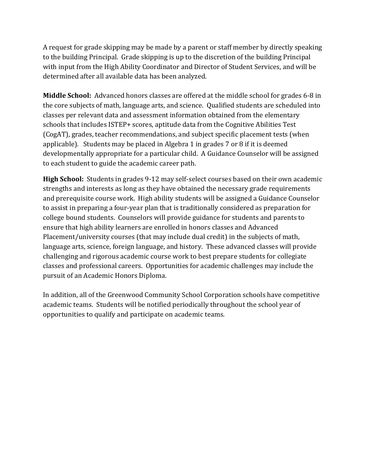A request for grade skipping may be made by a parent or staff member by directly speaking to the building Principal. Grade skipping is up to the discretion of the building Principal with input from the High Ability Coordinator and Director of Student Services, and will be determined after all available data has been analyzed.

**Middle School:** Advanced honors classes are offered at the middle school for grades 6-8 in the core subjects of math, language arts, and science. Qualified students are scheduled into classes per relevant data and assessment information obtained from the elementary schools that includes ISTEP+ scores, aptitude data from the Cognitive Abilities Test (CogAT), grades, teacher recommendations, and subject specific placement tests (when applicable). Students may be placed in Algebra 1 in grades 7 or 8 if it is deemed developmentally appropriate for a particular child. A Guidance Counselor will be assigned to each student to guide the academic career path.

**High School:** Students in grades 9-12 may self-select courses based on their own academic strengths and interests as long as they have obtained the necessary grade requirements and prerequisite course work. High ability students will be assigned a Guidance Counselor to assist in preparing a four-year plan that is traditionally considered as preparation for college bound students. Counselors will provide guidance for students and parents to ensure that high ability learners are enrolled in honors classes and Advanced Placement/university courses (that may include dual credit) in the subjects of math, language arts, science, foreign language, and history. These advanced classes will provide challenging and rigorous academic course work to best prepare students for collegiate classes and professional careers. Opportunities for academic challenges may include the pursuit of an Academic Honors Diploma.

In addition, all of the Greenwood Community School Corporation schools have competitive academic teams. Students will be notified periodically throughout the school year of opportunities to qualify and participate on academic teams.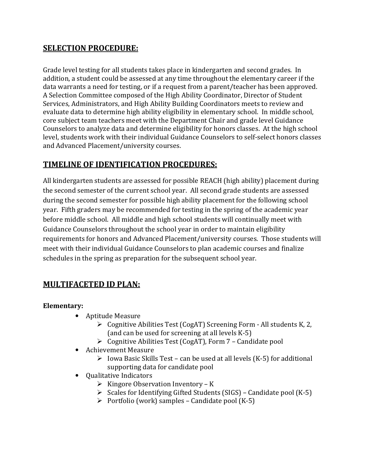#### **SELECTION PROCEDURE:**

Grade level testing for all students takes place in kindergarten and second grades. In addition, a student could be assessed at any time throughout the elementary career if the data warrants a need for testing, or if a request from a parent/teacher has been approved. A Selection Committee composed of the High Ability Coordinator, Director of Student Services, Administrators, and High Ability Building Coordinators meets to review and evaluate data to determine high ability eligibility in elementary school. In middle school, core subject team teachers meet with the Department Chair and grade level Guidance Counselors to analyze data and determine eligibility for honors classes. At the high school level, students work with their individual Guidance Counselors to self-select honors classes and Advanced Placement/university courses.

#### **TIMELINE OF IDENTIFICATION PROCEDURES:**

All kindergarten students are assessed for possible REACH (high ability) placement during the second semester of the current school year. All second grade students are assessed during the second semester for possible high ability placement for the following school year. Fifth graders may be recommended for testing in the spring of the academic year before middle school. All middle and high school students will continually meet with Guidance Counselors throughout the school year in order to maintain eligibility requirements for honors and Advanced Placement/university courses. Those students will meet with their individual Guidance Counselors to plan academic courses and finalize schedules in the spring as preparation for the subsequent school year.

#### **MULTIFACETED ID PLAN:**

**Elementary:** 

- Aptitude Measure
	- $\triangleright$  Cognitive Abilities Test (CogAT) Screening Form All students K, 2, (and can be used for screening at all levels K-5)
	- $\triangleright$  Cognitive Abilities Test (CogAT), Form 7 Candidate pool
- Achievement Measure
	- $\triangleright$  Iowa Basic Skills Test can be used at all levels (K-5) for additional supporting data for candidate pool
- Qualitative Indicators
	- $\triangleright$  Kingore Observation Inventory K
	- $\triangleright$  Scales for Identifying Gifted Students (SIGS) Candidate pool (K-5)
	- $\triangleright$  Portfolio (work) samples Candidate pool (K-5)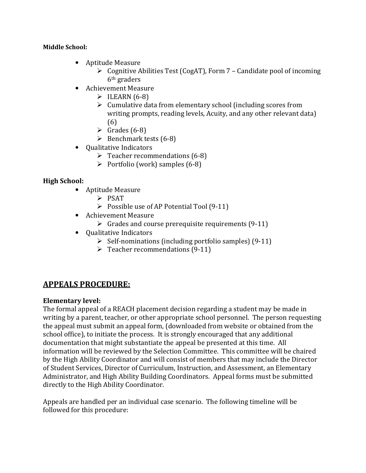#### **Middle School:**

- Aptitude Measure
	- $\triangleright$  Cognitive Abilities Test (CogAT), Form 7 Candidate pool of incoming 6th graders
- Achievement Measure
	- $\triangleright$  ILEARN (6-8)
	- $\triangleright$  Cumulative data from elementary school (including scores from writing prompts, reading levels, Acuity, and any other relevant data) (6)
	- $\triangleright$  Grades (6-8)
	- $\triangleright$  Benchmark tests (6-8)
- Qualitative Indicators
	- $\triangleright$  Teacher recommendations (6-8)
	- $\triangleright$  Portfolio (work) samples (6-8)

#### **High School:**

- Aptitude Measure
	- $\triangleright$  PSAT
	- $\triangleright$  Possible use of AP Potential Tool (9-11)
- Achievement Measure
	- $\triangleright$  Grades and course prerequisite requirements (9-11)
- Qualitative Indicators
	- $\triangleright$  Self-nominations (including portfolio samples) (9-11)
	- $\triangleright$  Teacher recommendations (9-11)

#### **APPEALS PROCEDURE:**

#### **Elementary level:**

The formal appeal of a REACH placement decision regarding a student may be made in writing by a parent, teacher, or other appropriate school personnel. The person requesting the appeal must submit an appeal form, (downloaded from website or obtained from the school office), to initiate the process. It is strongly encouraged that any additional documentation that might substantiate the appeal be presented at this time. All information will be reviewed by the Selection Committee. This committee will be chaired by the High Ability Coordinator and will consist of members that may include the Director of Student Services, Director of Curriculum, Instruction, and Assessment, an Elementary Administrator, and High Ability Building Coordinators. Appeal forms must be submitted directly to the High Ability Coordinator.

Appeals are handled per an individual case scenario. The following timeline will be followed for this procedure: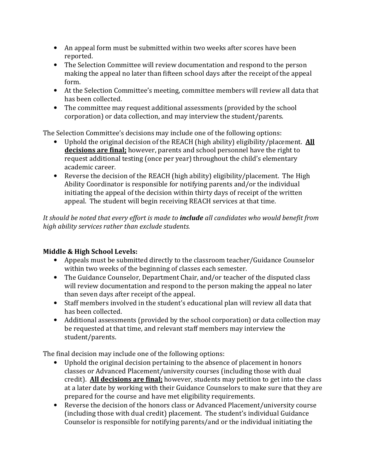- An appeal form must be submitted within two weeks after scores have been reported.
- The Selection Committee will review documentation and respond to the person making the appeal no later than fifteen school days after the receipt of the appeal form.
- At the Selection Committee's meeting, committee members will review all data that has been collected.
- The committee may request additional assessments (provided by the school corporation) or data collection, and may interview the student/parents.

The Selection Committee's decisions may include one of the following options:

- Uphold the original decision of the REACH (high ability) eligibility/placement. **All decisions are final;** however, parents and school personnel have the right to request additional testing (once per year) throughout the child's elementary academic career.
- Reverse the decision of the REACH (high ability) eligibility/placement. The High Ability Coordinator is responsible for notifying parents and/or the individual initiating the appeal of the decision within thirty days of receipt of the written appeal. The student will begin receiving REACH services at that time.

*It should be noted that every effort is made to include all candidates who would benefit from high ability services rather than exclude students.* 

#### **Middle & High School Levels:**

- Appeals must be submitted directly to the classroom teacher/Guidance Counselor within two weeks of the beginning of classes each semester.
- The Guidance Counselor, Department Chair, and/or teacher of the disputed class will review documentation and respond to the person making the appeal no later than seven days after receipt of the appeal.
- Staff members involved in the student's educational plan will review all data that has been collected.
- Additional assessments (provided by the school corporation) or data collection may be requested at that time, and relevant staff members may interview the student/parents.

The final decision may include one of the following options:

- Uphold the original decision pertaining to the absence of placement in honors classes or Advanced Placement/university courses (including those with dual credit). **All decisions are final;** however, students may petition to get into the class at a later date by working with their Guidance Counselors to make sure that they are prepared for the course and have met eligibility requirements.
- Reverse the decision of the honors class or Advanced Placement/university course (including those with dual credit) placement. The student's individual Guidance Counselor is responsible for notifying parents/and or the individual initiating the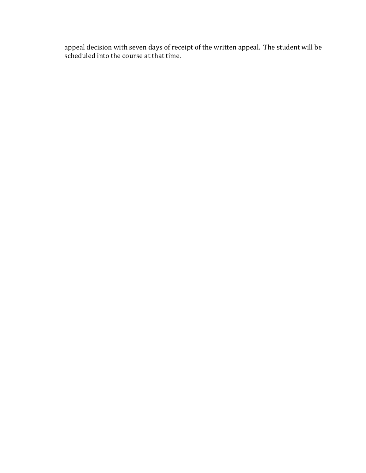appeal decision with seven days of receipt of the written appeal. The student will be scheduled into the course at that time.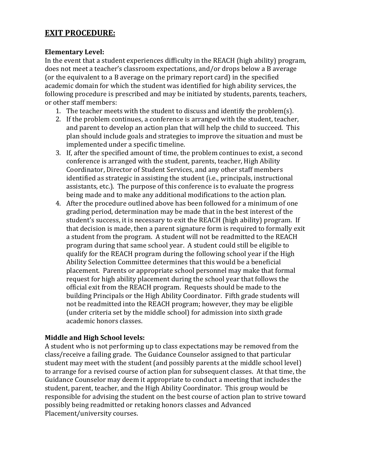#### **EXIT PROCEDURE:**

#### **Elementary Level:**

In the event that a student experiences difficulty in the REACH (high ability) program, does not meet a teacher's classroom expectations, and/or drops below a B average (or the equivalent to a B average on the primary report card) in the specified academic domain for which the student was identified for high ability services, the following procedure is prescribed and may be initiated by students, parents, teachers, or other staff members:

- 1. The teacher meets with the student to discuss and identify the problem(s).
- 2. If the problem continues, a conference is arranged with the student, teacher, and parent to develop an action plan that will help the child to succeed. This plan should include goals and strategies to improve the situation and must be implemented under a specific timeline.
- 3. If, after the specified amount of time, the problem continues to exist, a second conference is arranged with the student, parents, teacher, High Ability Coordinator, Director of Student Services, and any other staff members identified as strategic in assisting the student (i.e., principals, instructional assistants, etc.). The purpose of this conference is to evaluate the progress being made and to make any additional modifications to the action plan.
- 4. After the procedure outlined above has been followed for a minimum of one grading period, determination may be made that in the best interest of the student's success, it is necessary to exit the REACH (high ability) program. If that decision is made, then a parent signature form is required to formally exit a student from the program. A student will not be readmitted to the REACH program during that same school year. A student could still be eligible to qualify for the REACH program during the following school year if the High Ability Selection Committee determines that this would be a beneficial placement. Parents or appropriate school personnel may make that formal request for high ability placement during the school year that follows the official exit from the REACH program. Requests should be made to the building Principals or the High Ability Coordinator. Fifth grade students will not be readmitted into the REACH program; however, they may be eligible (under criteria set by the middle school) for admission into sixth grade academic honors classes.

#### **Middle and High School levels:**

A student who is not performing up to class expectations may be removed from the class/receive a failing grade. The Guidance Counselor assigned to that particular student may meet with the student (and possibly parents at the middle school level) to arrange for a revised course of action plan for subsequent classes. At that time, the Guidance Counselor may deem it appropriate to conduct a meeting that includes the student, parent, teacher, and the High Ability Coordinator. This group would be responsible for advising the student on the best course of action plan to strive toward possibly being readmitted or retaking honors classes and Advanced Placement/university courses.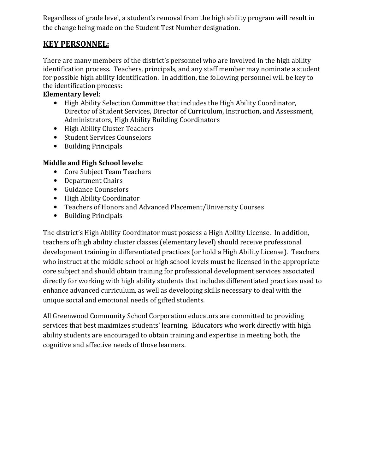Regardless of grade level, a student's removal from the high ability program will result in the change being made on the Student Test Number designation.

#### **KEY PERSONNEL:**

There are many members of the district's personnel who are involved in the high ability identification process. Teachers, principals, and any staff member may nominate a student for possible high ability identification. In addition, the following personnel will be key to the identification process:

#### **Elementary level:**

- High Ability Selection Committee that includes the High Ability Coordinator, Director of Student Services, Director of Curriculum, Instruction, and Assessment, Administrators, High Ability Building Coordinators
- High Ability Cluster Teachers
- Student Services Counselors
- Building Principals

#### **Middle and High School levels:**

- Core Subject Team Teachers
- Department Chairs
- Guidance Counselors
- High Ability Coordinator
- Teachers of Honors and Advanced Placement/University Courses
- Building Principals

The district's High Ability Coordinator must possess a High Ability License. In addition, teachers of high ability cluster classes (elementary level) should receive professional development training in differentiated practices (or hold a High Ability License). Teachers who instruct at the middle school or high school levels must be licensed in the appropriate core subject and should obtain training for professional development services associated directly for working with high ability students that includes differentiated practices used to enhance advanced curriculum, as well as developing skills necessary to deal with the unique social and emotional needs of gifted students.

All Greenwood Community School Corporation educators are committed to providing services that best maximizes students' learning. Educators who work directly with high ability students are encouraged to obtain training and expertise in meeting both, the cognitive and affective needs of those learners.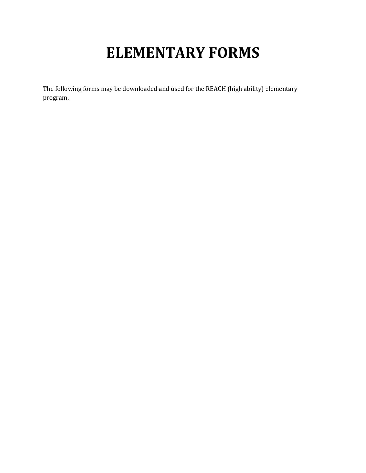# **ELEMENTARY FORMS**

The following forms may be downloaded and used for the REACH (high ability) elementary program.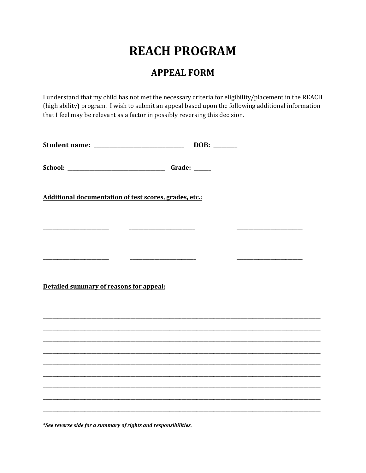## **REACH PROGRAM**

#### **APPEAL FORM**

I understand that my child has not met the necessary criteria for eligibility/placement in the REACH (high ability) program. I wish to submit an appeal based upon the following additional information that I feel may be relevant as a factor in possibly reversing this decision.

| Additional documentation of test scores, grades, etc.: |  |  |  |
|--------------------------------------------------------|--|--|--|
|                                                        |  |  |  |
|                                                        |  |  |  |
|                                                        |  |  |  |
| Detailed summary of reasons for appeal:                |  |  |  |
|                                                        |  |  |  |
|                                                        |  |  |  |
|                                                        |  |  |  |
|                                                        |  |  |  |
|                                                        |  |  |  |

\*See reverse side for a summary of rights and responsibilities.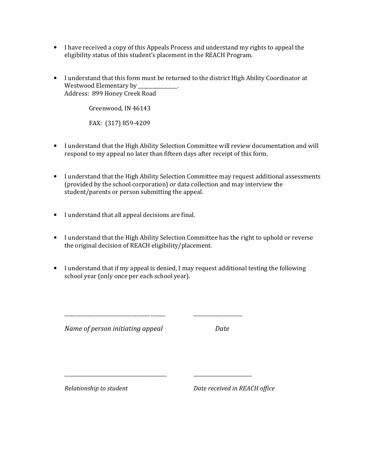- I have received a copy of this Appeals Process and understand my rights to appeal the eligibility status of this student's placement in the REACH Program.
- I understand that this form must be returned to the district High Ability Coordinator at Westwood Elementary by Address: 899 Honey Creek Road

Greenwood, IN 46143

FAX: (317) 859-4209

- I understand that the High Ability Selection Committee will review documentation and will respond to my appeal no later than fifteen days after receipt of this form.
- I understand that the High Ability Selection Committee may request additional assessments (provided by the school corporation) or data collection and may interview the student/parents or person submitting the appeal.
- I understand that all appeal decisions are final.
- I understand that the High Ability Selection Committee has the right to uphold or reverse the original decision of REACH eligibility/placement.
- I understand that if my appeal is denied, I may request additional testing the following school year (only once per each school year).

\_\_\_\_\_\_\_\_\_\_\_\_\_\_\_\_\_\_\_\_\_\_\_\_\_\_\_\_\_\_\_\_\_\_\_ \_\_\_\_\_\_ \_\_\_\_\_\_\_\_\_\_\_\_\_\_\_\_\_\_\_\_

\_\_\_\_\_\_\_\_\_\_\_\_\_\_\_\_\_\_\_\_\_\_\_\_\_\_\_\_\_\_\_\_\_\_\_\_\_\_\_\_\_\_ \_\_\_\_\_\_\_\_\_\_\_\_\_\_\_\_\_\_\_\_\_\_\_\_

*Name of person initiating appeal Date*

*Relationship to student Date received in REACH office*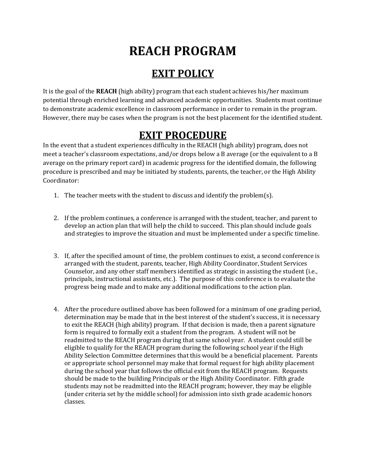## **REACH PROGRAM**

### **EXIT POLICY**

It is the goal of the **REACH** (high ability) program that each student achieves his/her maximum potential through enriched learning and advanced academic opportunities. Students must continue to demonstrate academic excellence in classroom performance in order to remain in the program. However, there may be cases when the program is not the best placement for the identified student.

### **EXIT PROCEDURE**

In the event that a student experiences difficulty in the REACH (high ability) program, does not meet a teacher's classroom expectations, and/or drops below a B average (or the equivalent to a B average on the primary report card) in academic progress for the identified domain, the following procedure is prescribed and may be initiated by students, parents, the teacher, or the High Ability Coordinator:

- 1. The teacher meets with the student to discuss and identify the problem(s).
- 2. If the problem continues, a conference is arranged with the student, teacher, and parent to develop an action plan that will help the child to succeed. This plan should include goals and strategies to improve the situation and must be implemented under a specific timeline.
- 3. If, after the specified amount of time, the problem continues to exist, a second conference is arranged with the student, parents, teacher, High Ability Coordinator, Student Services Counselor, and any other staff members identified as strategic in assisting the student (i.e., principals, instructional assistants, etc.). The purpose of this conference is to evaluate the progress being made and to make any additional modifications to the action plan.
- 4. After the procedure outlined above has been followed for a minimum of one grading period, determination may be made that in the best interest of the student's success, it is necessary to exit the REACH (high ability) program. If that decision is made, then a parent signature form is required to formally exit a student from the program. A student will not be readmitted to the REACH program during that same school year. A student could still be eligible to qualify for the REACH program during the following school year if the High Ability Selection Committee determines that this would be a beneficial placement. Parents or appropriate school personnel may make that formal request for high ability placement during the school year that follows the official exit from the REACH program. Requests should be made to the building Principals or the High Ability Coordinator. Fifth grade students may not be readmitted into the REACH program; however, they may be eligible (under criteria set by the middle school) for admission into sixth grade academic honors classes.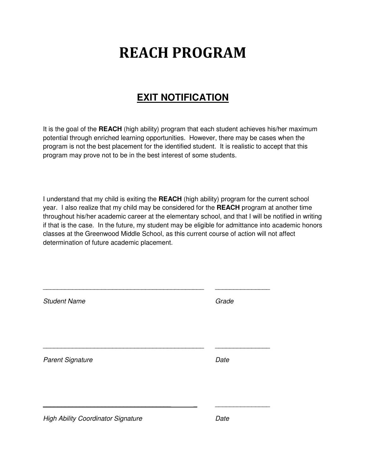# **REACH PROGRAM**

### **EXIT NOTIFICATION**

It is the goal of the **REACH** (high ability) program that each student achieves his/her maximum potential through enriched learning opportunities. However, there may be cases when the program is not the best placement for the identified student. It is realistic to accept that this program may prove not to be in the best interest of some students.

I understand that my child is exiting the **REACH** (high ability) program for the current school year. I also realize that my child may be considered for the **REACH** program at another time throughout his/her academic career at the elementary school, and that I will be notified in writing if that is the case. In the future, my student may be eligible for admittance into academic honors classes at the Greenwood Middle School, as this current course of action will not affect determination of future academic placement.

| <b>Student Name</b>                       | Grade |
|-------------------------------------------|-------|
| <b>Parent Signature</b>                   | Date  |
| <b>High Ability Coordinator Signature</b> | Date  |